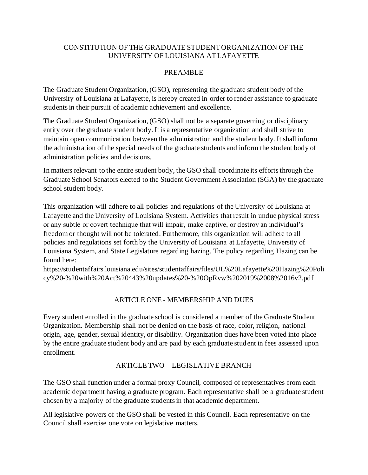## CONSTITUTION OF THE GRADUATE STUDENT ORGANIZATION OF THE UNIVERSITY OF LOUISIANA AT LAFAYETTE

## PREAMBLE

The Graduate Student Organization, (GSO), representing the graduate student body of the University of Louisiana at Lafayette, is hereby created in order to render assistance to graduate students in their pursuit of academic achievement and excellence.

The Graduate Student Organization, (GSO) shall not be a separate governing or disciplinary entity over the graduate student body. It is a representative organization and shall strive to maintain open communication between the administration and the student body. It shall inform the administration of the special needs of the graduate students and inform the student body of administration policies and decisions.

In matters relevant to the entire student body, the GSO shall coordinate its efforts through the Graduate School Senators elected to the Student Government Association (SGA) by the graduate school student body.

This organization will adhere to all policies and regulations of the University of Louisiana at Lafayette and the University of Louisiana System. Activities that result in undue physical stress or any subtle or covert technique that will impair, make captive, or destroy an individual's freedom or thought will not be tolerated. Furthermore, this organization will adhere to all policies and regulations set forth by the University of Louisiana at Lafayette, University of Louisiana System, and State Legislature regarding hazing. The policy regarding Hazing can be found here:

https://studentaffairs.louisiana.edu/sites/studentaffairs/files/UL%20Lafayette%20Hazing%20Poli cy%20-%20with%20Act%20443%20updates%20-%20OpRvw%202019%2008%2016v2.pdf

# ARTICLE ONE - MEMBERSHIP AND DUES

Every student enrolled in the graduate school is considered a member of the Graduate Student Organization. Membership shall not be denied on the basis of race, color, religion, national origin, age, gender, sexual identity, or disability. Organization dues have been voted into place by the entire graduate student body and are paid by each graduate student in fees assessed upon enrollment.

## ARTICLE TWO – LEGISLATIVE BRANCH

The GSO shall function under a formal proxy Council, composed of representatives from each academic department having a graduate program. Each representative shall be a graduate student chosen by a majority of the graduate students in that academic department.

All legislative powers of the GSO shall be vested in this Council. Each representative on the Council shall exercise one vote on legislative matters.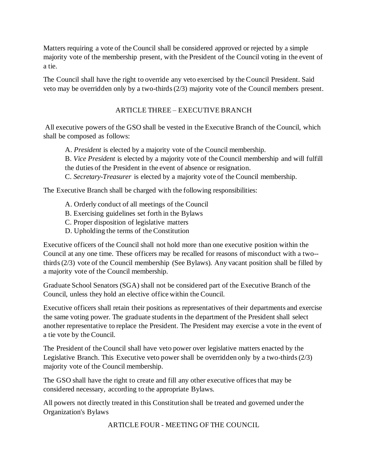Matters requiring a vote of the Council shall be considered approved or rejected by a simple majority vote of the membership present, with the President of the Council voting in the event of a tie.

The Council shall have the right to override any veto exercised by the Council President. Said veto may be overridden only by a two-thirds (2/3) majority vote of the Council members present.

# ARTICLE THREE – EXECUTIVE BRANCH

All executive powers of the GSO shall be vested in the Executive Branch of the Council, which shall be composed as follows:

A. *President* is elected by a majority vote of the Council membership.

B. *Vice President* is elected by a majority vote of the Council membership and will fulfill the duties of the President in the event of absence or resignation.

C. *Secretary-Treasurer* is elected by a majority vote of the Council membership.

The Executive Branch shall be charged with the following responsibilities:

- A. Orderly conduct of all meetings of the Council
- B. Exercising guidelines set forth in the Bylaws
- C. Proper disposition of legislative matters
- D. Upholding the terms of the Constitution

Executive officers of the Council shall not hold more than one executive position within the Council at any one time. These officers may be recalled for reasons of misconduct with a two- thirds (2/3) vote of the Council membership (See Bylaws). Any vacant position shall be filled by a majority vote of the Council membership.

Graduate School Senators (SGA) shall not be considered part of the Executive Branch of the Council, unless they hold an elective office within the Council.

Executive officers shall retain their positions as representatives of their departments and exercise the same voting power. The graduate students in the department of the President shall select another representative to replace the President. The President may exercise a vote in the event of a tie vote by the Council.

The President of the Council shall have veto power over legislative matters enacted by the Legislative Branch. This Executive veto power shall be overridden only by a two-thirds (2/3) majority vote of the Council membership.

The GSO shall have the right to create and fill any other executive offices that may be considered necessary, according to the appropriate Bylaws.

All powers not directly treated in this Constitution shall be treated and governed under the Organization's Bylaws

ARTICLE FOUR - MEETING OF THE COUNCIL